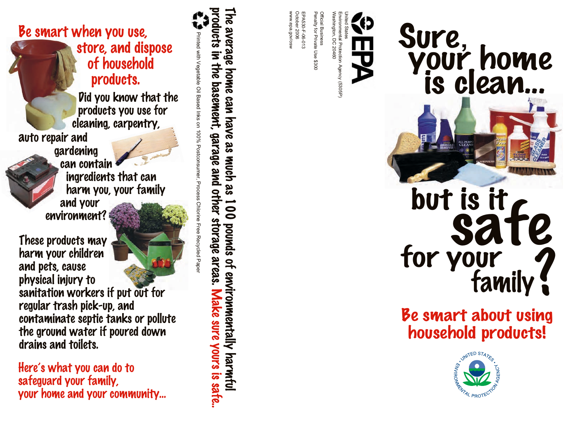# Be smart when you use, store, and dispose of household products.

 Did you know that the products you use for cleaning, carpentry,

auto repair and



 ingredients that can harm you, your family and your environment?

These products may harm your children and pets, cause physical injury to sanitation workers if put out for regular trash pick-up, and contaminate septic tanks or pollute

Here's what you can do to

your home and your community...

the ground water if poured down

safeguard your family,

drains and toilets.

oducts in the basement, garage and other storage areas. Make sure yours is sate. Printed with Vegetable  $\subseteq$ Based Inks on 100% Postconsumer, Process Chlorine Free Recycled Paper

he average home can have as much as 100 pounds of environmentally harmful



# IS IT<br>Safe<br>your<br>family? but is it i family for your

#### Be smart about using i household products l !<br>!



United

States Environmental

Protection

Washington,

fficial Business Business

Penalty for Private Use \$300

EPA530-F-06-013 October

2006 www.epa.gov/osw

v.epa.gov/osv

DC 20460

Agency

(5305P)